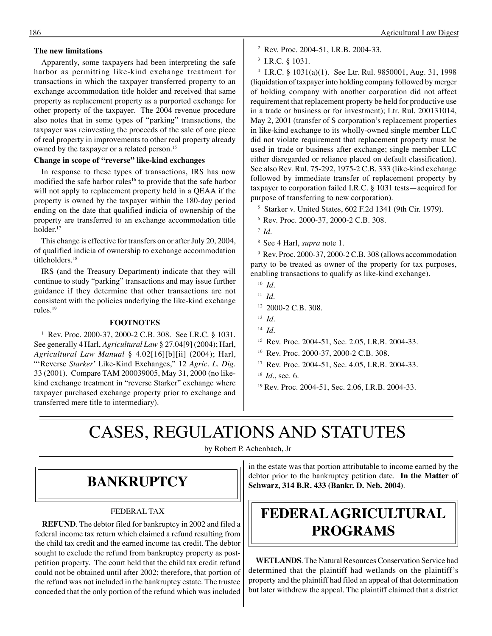#### **The new limitations**

Apparently, some taxpayers had been interpreting the safe harbor as permitting like-kind exchange treatment for transactions in which the taxpayer transferred property to an exchange accommodation title holder and received that same property as replacement property as a purported exchange for other property of the taxpayer. The 2004 revenue procedure also notes that in some types of "parking" transactions, the taxpayer was reinvesting the proceeds of the sale of one piece of real property in improvements to other real property already owned by the taxpayer or a related person.<sup>15</sup>

### **Change in scope of "reverse" like-kind exchanges**

In response to these types of transactions, IRS has now modified the safe harbor rules<sup>16</sup> to provide that the safe harbor will not apply to replacement property held in a QEAA if the property is owned by the taxpayer within the 180-day period ending on the date that qualified indicia of ownership of the property are transferred to an exchange accommodation title holder. 17

This change is effective for transfers on or after July 20, 2004, of qualified indicia of ownership to exchange accommodation titleholders.<sup>18</sup>

IRS (and the Treasury Department) indicate that they will continue to study "parking" transactions and may issue further guidance if they determine that other transactions are not consistent with the policies underlying the like-kind exchange rules.19

#### **FOOTNOTES**

1 Rev. Proc. 2000-37, 2000-2 C.B. 308. See I.R.C. § 1031. See generally 4 Harl, *Agricultural Law* § 27.04[9] (2004); Harl, *Agricultural Law Manual* § 4.02[16][b][ii] (2004); Harl, "'Reverse *Starker*' Like-Kind Exchanges," 12 *Agric. L. Dig.*  33 (2001). Compare TAM 200039005, May 31, 2000 (no likekind exchange treatment in "reverse Starker" exchange where taxpayer purchased exchange property prior to exchange and transferred mere title to intermediary).

- 2 Rev. Proc. 2004-51, I.R.B. 2004-33.
- 3 I.R.C. § 1031.

4 I.R.C. § 1031(a)(1). See Ltr. Rul. 9850001, Aug. 31, 1998 (liquidation of taxpayer into holding company followed by merger of holding company with another corporation did not affect requirement that replacement property be held for productive use in a trade or business or for investment); Ltr. Rul. 200131014, May 2, 2001 (transfer of S corporation's replacement properties in like-kind exchange to its wholly-owned single member LLC did not violate requirement that replacement property must be used in trade or business after exchange; single member LLC either disregarded or reliance placed on default classification). See also Rev. Rul. 75-292, 1975-2 C.B. 333 (like-kind exchange followed by immediate transfer of replacement property by taxpayer to corporation failed I.R.C. § 1031 tests—acquired for purpose of transferring to new corporation).

- 5 Starker v. United States, 602 F.2d 1341 (9th Cir. 1979).
- 6 Rev. Proc. 2000-37, 2000-2 C.B. 308.
- <sup>7</sup>*Id*.
- 8 See 4 Harl, *supra* note 1.

9 Rev. Proc. 2000-37, 2000-2 C.B. 308 (allows accommodation party to be treated as owner of the property for tax purposes, enabling transactions to qualify as like-kind exchange).

- <sup>10</sup>*Id*.
- <sup>11</sup>*Id*.
- $12$  2000-2 C.B. 308.
- <sup>13</sup>*Id*.
- <sup>14</sup>*Id*.
- 15 Rev. Proc. 2004-51, Sec. 2.05, I.R.B. 2004-33.
- 16 Rev. Proc. 2000-37, 2000-2 C.B. 308.
- 17 Rev. Proc. 2004-51, Sec. 4.05, I.R.B. 2004-33.
- <sup>18</sup>*Id.*, sec. 6.
- 19 Rev. Proc. 2004-51, Sec. 2.06, I.R.B. 2004-33.

# CASES, REGULATIONS AND STATUTES

by Robert P. Achenbach, Jr

### **BANKRUPTCY**

### FEDERAL TAX

**REFUND**. The debtor filed for bankruptcy in 2002 and filed a federal income tax return which claimed a refund resulting from the child tax credit and the earned income tax credit. The debtor sought to exclude the refund from bankruptcy property as postpetition property. The court held that the child tax credit refund could not be obtained until after 2002; therefore, that portion of the refund was not included in the bankruptcy estate. The trustee conceded that the only portion of the refund which was included

in the estate was that portion attributable to income earned by the debtor prior to the bankruptcy petition date. **In the Matter of Schwarz, 314 B.R. 433 (Bankr. D. Neb. 2004)**.

# **FEDERAL AGRICULTURAL PROGRAMS**

**WETLANDS**. The Natural Resources Conservation Service had determined that the plaintiff had wetlands on the plaintiff's property and the plaintiff had filed an appeal of that determination but later withdrew the appeal. The plaintiff claimed that a district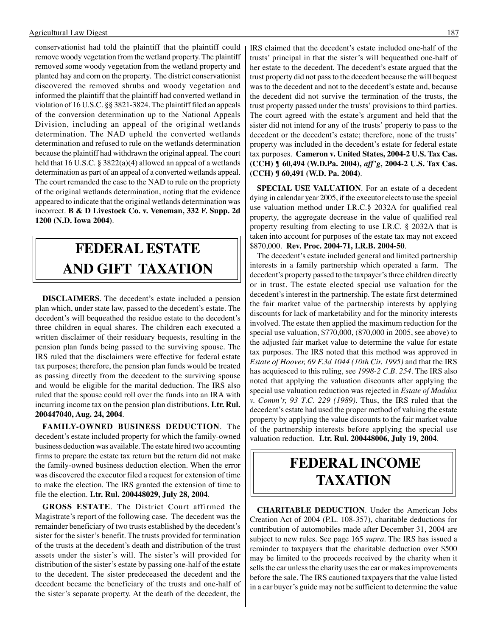conservationist had told the plaintiff that the plaintiff could remove woody vegetation from the wetland property. The plaintiff removed some woody vegetation from the wetland property and planted hay and corn on the property. The district conservationist discovered the removed shrubs and woody vegetation and informed the plaintiff that the plaintiff had converted wetland in violation of 16 U.S.C. §§ 3821-3824. The plaintiff filed an appeals of the conversion determination up to the National Appeals Division, including an appeal of the original wetlands determination. The NAD upheld the converted wetlands determination and refused to rule on the wetlands determination because the plaintiff had withdrawn the original appeal. The court held that 16 U.S.C. § 3822(a)(4) allowed an appeal of a wetlands determination as part of an appeal of a converted wetlands appeal. The court remanded the case to the NAD to rule on the propriety of the original wetlands determination, noting that the evidence appeared to indicate that the original wetlands determination was incorrect. **B & D Livestock Co. v. Veneman, 332 F. Supp. 2d 1200 (N.D. Iowa 2004)**.

# **FEDERAL ESTATE AND GIFT TAXATION**

**DISCLAIMERS**. The decedent's estate included a pension plan which, under state law, passed to the decedent's estate. The decedent's will bequeathed the residue estate to the decedent's three children in equal shares. The children each executed a written disclaimer of their residuary bequests, resulting in the pension plan funds being passed to the surviving spouse. The IRS ruled that the disclaimers were effective for federal estate tax purposes; therefore, the pension plan funds would be treated as passing directly from the decedent to the surviving spouse and would be eligible for the marital deduction. The IRS also ruled that the spouse could roll over the funds into an IRA with incurring income tax on the pension plan distributions. **Ltr. Rul. 200447040, Aug. 24, 2004**.

**FAMILY-OWNED BUSINESS DEDUCTION**. The decedent's estate included property for which the family-owned business deduction was available. The estate hired two accounting firms to prepare the estate tax return but the return did not make the family-owned business deduction election. When the error was discovered the executor filed a request for extension of time to make the election. The IRS granted the extension of time to file the election. **Ltr. Rul. 200448029, July 28, 2004**.

**GROSS ESTATE**. The District Court affirmed the Magistrate's report of the following case. The decedent was the remainder beneficiary of two trusts established by the decedent's sister for the sister's benefit. The trusts provided for termination of the trusts at the decedent's death and distribution of the trust assets under the sister's will. The sister's will provided for distribution of the sister's estate by passing one-half of the estate to the decedent. The sister predeceased the decedent and the decedent became the beneficiary of the trusts and one-half of the sister's separate property. At the death of the decedent, the

IRS claimed that the decedent's estate included one-half of the trusts' principal in that the sister's will bequeathed one-half of her estate to the decedent. The decedent's estate argued that the trust property did not pass to the decedent because the will bequest was to the decedent and not to the decedent's estate and, because the decedent did not survive the termination of the trusts, the trust property passed under the trusts' provisions to third parties. The court agreed with the estate's argument and held that the sister did not intend for any of the trusts' property to pass to the decedent or the decedent's estate; therefore, none of the trusts' property was included in the decedent's estate for federal estate tax purposes. **Cameron v. United States, 2004-2 U.S. Tax Cas. (CCH) ¶ 60,494 (W.D.Pa. 2004),** *aff'g***, 2004-2 U.S. Tax Cas. (CCH) ¶ 60,491 (W.D. Pa. 2004)**.

**SPECIAL USE VALUATION**. For an estate of a decedent dying in calendar year 2005, if the executor elects to use the special use valuation method under I.R.C.§ 2032A for qualified real property, the aggregate decrease in the value of qualified real property resulting from electing to use I.R.C. § 2032A that is taken into account for purposes of the estate tax may not exceed \$870,000. **Rev. Proc. 2004-71, I.R.B. 2004-50**.

The decedent's estate included general and limited partnership interests in a family partnership which operated a farm. The decedent's property passed to the taxpayer's three children directly or in trust. The estate elected special use valuation for the decedent's interest in the partnership. The estate first determined the fair market value of the partnership interests by applying discounts for lack of marketability and for the minority interests involved. The estate then applied the maximum reduction for the special use valuation, \$770,000, (870,000 in 2005, see above) to the adjusted fair market value to determine the value for estate tax purposes. The IRS noted that this method was approved in *Estate of Hoover, 69 F.3d 1044 (10th Cir. 1995)* and that the IRS has acquiesced to this ruling, see *1998-2 C.B. 254*. The IRS also noted that applying the valuation discounts after applying the special use valuation reduction was rejected in *Estate of Maddox v. Comm'r, 93 T.C. 229 (1989)*. Thus, the IRS ruled that the decedent's estate had used the proper method of valuing the estate property by applying the value discounts to the fair market value of the partnership interests before applying the special use valuation reduction. **Ltr. Rul. 200448006, July 19, 2004**.

## **FEDERAL INCOME TAXATION**

**CHARITABLE DEDUCTION**. Under the American Jobs Creation Act of 2004 (P.L. 108-357), charitable deductions for contribution of automobiles made after December 31, 2004 are subject to new rules. See page 165 *supra*. The IRS has issued a reminder to taxpayers that the charitable deduction over \$500 may be limited to the proceeds received by the charity when it sells the car unless the charity uses the car or makes improvements before the sale. The IRS cautioned taxpayers that the value listed in a car buyer's guide may not be sufficient to determine the value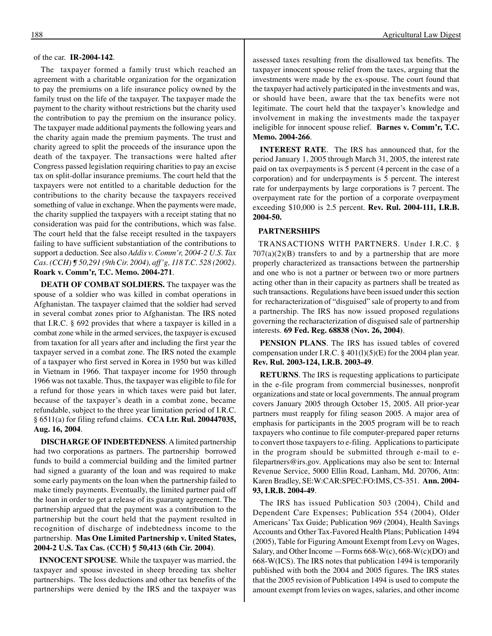#### of the car. **IR-2004-142**.

The taxpayer formed a family trust which reached an agreement with a charitable organization for the organization to pay the premiums on a life insurance policy owned by the family trust on the life of the taxpayer. The taxpayer made the payment to the charity without restrictions but the charity used the contribution to pay the premium on the insurance policy. The taxpayer made additional payments the following years and the charity again made the premium payments. The trust and charity agreed to split the proceeds of the insurance upon the death of the taxpayer. The transactions were halted after Congress passed legislation requiring charities to pay an excise tax on split-dollar insurance premiums. The court held that the taxpayers were not entitled to a charitable deduction for the contributions to the charity because the taxpayers received something of value in exchange. When the payments were made, the charity supplied the taxpayers with a receipt stating that no consideration was paid for the contributions, which was false. The court held that the false receipt resulted in the taxpayers failing to have sufficient substantiation of the contributions to support a deduction. See also *Addis v. Comm'r, 2004-2 U.S. Tax Cas. (CCH) ¶ 50,291 (9th Cir. 2004), aff'g, 118 T.C. 528 (2002)*. **Roark v. Comm'r, T.C. Memo. 2004-271**.

**DEATH OF COMBAT SOLDIERS.** The taxpayer was the spouse of a soldier who was killed in combat operations in Afghanistan. The taxpayer claimed that the soldier had served in several combat zones prior to Afghanistan. The IRS noted that I.R.C. § 692 provides that where a taxpayer is killed in a combat zone while in the armed services, the taxpayer is excused from taxation for all years after and including the first year the taxpayer served in a combat zone. The IRS noted the example of a taxpayer who first served in Korea in 1950 but was killed in Vietnam in 1966. That taxpayer income for 1950 through 1966 was not taxable. Thus, the taxpayer was eligible to file for a refund for those years in which taxes were paid but later, because of the taxpayer's death in a combat zone, became refundable, subject to the three year limitation period of I.R.C. § 6511(a) for filing refund claims. **CCA Ltr. Rul. 200447035, Aug. 16, 2004**.

**DISCHARGE OF INDEBTEDNESS**. A limited partnership had two corporations as partners. The partnership borrowed funds to build a commercial building and the limited partner had signed a guaranty of the loan and was required to make some early payments on the loan when the partnership failed to make timely payments. Eventually, the limited partner paid off the loan in order to get a release of its guaranty agreement. The partnership argued that the payment was a contribution to the partnership but the court held that the payment resulted in recognition of discharge of indebtedness income to the partnership. **Mas One Limited Partnership v. United States, 2004-2 U.S. Tax Cas. (CCH) ¶ 50,413 (6th Cir. 2004)**.

**INNOCENT SPOUSE**. While the taxpayer was married, the taxpayer and spouse invested in sheep breeding tax shelter partnerships. The loss deductions and other tax benefits of the partnerships were denied by the IRS and the taxpayer was

assessed taxes resulting from the disallowed tax benefits. The taxpayer innocent spouse relief from the taxes, arguing that the investments were made by the ex-spouse. The court found that the taxpayer had actively participated in the investments and was, or should have been, aware that the tax benefits were not legitimate. The court held that the taxpayer's knowledge and involvement in making the investments made the taxpayer ineligible for innocent spouse relief. **Barnes v. Comm'r, T.C. Memo. 2004-266**.

**INTEREST RATE**. The IRS has announced that, for the period January 1, 2005 through March 31, 2005, the interest rate paid on tax overpayments is 5 percent (4 percent in the case of a corporation) and for underpayments is 5 percent. The interest rate for underpayments by large corporations is 7 percent. The overpayment rate for the portion of a corporate overpayment exceeding \$10,000 is 2.5 percent. **Rev. Rul. 2004-111, I.R.B. 2004-50.** 

#### **PARTNERSHIPS**

TRANSACTIONS WITH PARTNERS. Under I.R.C. §  $707(a)(2)(B)$  transfers to and by a partnership that are more properly characterized as transactions between the partnership and one who is not a partner or between two or more partners acting other than in their capacity as partners shall be treated as such transactions. Regulations have been issued under this section for recharacterization of "disguised" sale of property to and from a partnership. The IRS has now issued proposed regulations governing the recharacterization of disguised sale of partnership interests. **69 Fed. Reg. 68838 (Nov. 26, 2004)**.

**PENSION PLANS**. The IRS has issued tables of covered compensation under I.R.C. § 401(l)(5)(E) for the 2004 plan year. **Rev. Rul. 2003-124, I.R.B. 2003-49**.

**RETURNS**. The IRS is requesting applications to participate in the e-file program from commercial businesses, nonprofit organizations and state or local governments. The annual program covers January 2005 through October 15, 2005. All prior-year partners must reapply for filing season 2005. A major area of emphasis for participants in the 2005 program will be to reach taxpayers who continue to file computer-prepared paper returns to convert those taxpayers to e-filing. Applications to participate in the program should be submitted through e-mail to efilepartners@irs.gov. Applications may also be sent to: Internal Revenue Service, 5000 Ellin Road, Lanham, Md. 20706, Attn: Karen Bradley, SE:W:CAR:SPEC:FO:IMS, C5-351. **Ann. 2004 93, I.R.B. 2004-49**.

The IRS has issued Publication 503 (2004), Child and Dependent Care Expenses; Publication 554 (2004), Older Americans' Tax Guide; Publication 969 (2004), Health Savings Accounts and Other Tax-Favored Health Plans; Publication 1494 (2005), Table for Figuring Amount Exempt from Levy on Wages, Salary, and Other Income —Forms 668-W(c), 668-W(c)(DO) and 668-W(ICS). The IRS notes that publication 1494 is temporarily published with both the 2004 and 2005 figures. The IRS states that the 2005 revision of Publication 1494 is used to compute the amount exempt from levies on wages, salaries, and other income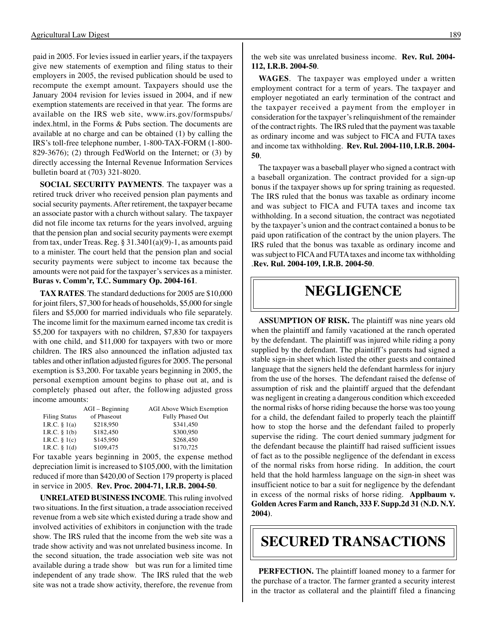paid in 2005. For levies issued in earlier years, if the taxpayers give new statements of exemption and filing status to their employers in 2005, the revised publication should be used to recompute the exempt amount. Taxpayers should use the January 2004 revision for levies issued in 2004, and if new exemption statements are received in that year. The forms are available on the IRS web site, www.irs.gov/formspubs/ index.html, in the Forms & Pubs section. The documents are available at no charge and can be obtained (1) by calling the IRS's toll-free telephone number, 1-800-TAX-FORM (1-800- 829-3676); (2) through FedWorld on the Internet; or (3) by directly accessing the Internal Revenue Information Services bulletin board at (703) 321-8020.

**SOCIAL SECURITY PAYMENTS**. The taxpayer was a retired truck driver who received pension plan payments and social security payments. After retirement, the taxpayer became an associate pastor with a church without salary. The taxpayer did not file income tax returns for the years involved, arguing that the pension plan and social security payments were exempt from tax, under Treas. Reg. § 31.3401(a)(9)-1, as amounts paid to a minister. The court held that the pension plan and social security payments were subject to income tax because the amounts were not paid for the taxpayer's services as a minister. **Buras v. Comm'r, T.C. Summary Op. 2004-161**.

**TAX RATES**. The standard deductions for 2005 are \$10,000 for joint filers, \$7,300 for heads of households, \$5,000 for single filers and \$5,000 for married individuals who file separately. The income limit for the maximum earned income tax credit is \$5,200 for taxpayers with no children, \$7,830 for taxpayers with one child, and \$11,000 for taxpayers with two or more children. The IRS also announced the inflation adjusted tax tables and other inflation adjusted figures for 2005. The personal exemption is \$3,200. For taxable years beginning in 2005, the personal exemption amount begins to phase out at, and is completely phased out after, the following adjusted gross income amounts:

|                      | $AGI - Beginning$ | <b>AGI Above Which Exemption</b> |
|----------------------|-------------------|----------------------------------|
| <b>Filing Status</b> | of Phaseout       | Fully Phased Out                 |
| I.R.C. $§ 1(a)$      | \$218,950         | \$341,450                        |
| I.R.C. $\S$ 1(b)     | \$182,450         | \$300,950                        |
| I.R.C. $§ 1(c)$      | \$145,950         | \$268,450                        |
| I.R.C. $\S$ 1(d)     | \$109,475         | \$170,725                        |

For taxable years beginning in 2005, the expense method depreciation limit is increased to \$105,000, with the limitation reduced if more than \$420,00 of Section 179 property is placed in service in 2005. **Rev. Proc. 2004-71, I.R.B. 2004-50**.

**UNRELATED BUSINESS INCOME**. This ruling involved two situations. In the first situation, a trade association received revenue from a web site which existed during a trade show and involved activities of exhibitors in conjunction with the trade show. The IRS ruled that the income from the web site was a trade show activity and was not unrelated business income. In the second situation, the trade association web site was not available during a trade show but was run for a limited time independent of any trade show. The IRS ruled that the web site was not a trade show activity, therefore, the revenue from

the web site was unrelated business income. **Rev. Rul. 2004 112, I.R.B. 2004-50**.

**WAGES**. The taxpayer was employed under a written employment contract for a term of years. The taxpayer and employer negotiated an early termination of the contract and the taxpayer received a payment from the employer in consideration for the taxpayer's relinquishment of the remainder of the contract rights. The IRS ruled that the payment was taxable as ordinary income and was subject to FICA and FUTA taxes and income tax withholding. **Rev. Rul. 2004-110, I.R.B. 2004 50**.

The taxpayer was a baseball player who signed a contract with a baseball organization. The contract provided for a sign-up bonus if the taxpayer shows up for spring training as requested. The IRS ruled that the bonus was taxable as ordinary income and was subject to FICA and FUTA taxes and income tax withholding. In a second situation, the contract was negotiated by the taxpayer's union and the contract contained a bonus to be paid upon ratification of the contract by the union players. The IRS ruled that the bonus was taxable as ordinary income and was subject to FICA and FUTA taxes and income tax withholding .**Rev. Rul. 2004-109, I.R.B. 2004-50**.

### **NEGLIGENCE**

**ASSUMPTION OF RISK.** The plaintiff was nine years old when the plaintiff and family vacationed at the ranch operated by the defendant. The plaintiff was injured while riding a pony supplied by the defendant. The plaintiff's parents had signed a stable sign-in sheet which listed the other guests and contained language that the signers held the defendant harmless for injury from the use of the horses. The defendant raised the defense of assumption of risk and the plaintiff argued that the defendant was negligent in creating a dangerous condition which exceeded the normal risks of horse riding because the horse was too young for a child, the defendant failed to properly teach the plaintiff how to stop the horse and the defendant failed to properly supervise the riding. The court denied summary judgment for the defendant because the plaintiff had raised sufficient issues of fact as to the possible negligence of the defendant in excess of the normal risks from horse riding. In addition, the court held that the hold harmless language on the sign-in sheet was insufficient notice to bar a suit for negligence by the defendant in excess of the normal risks of horse riding. **Applbaum v. Golden Acres Farm and Ranch, 333 F. Supp.2d 31 (N.D. N.Y. 2004)**.

### **SECURED TRANSACTIONS**

**PERFECTION.** The plaintiff loaned money to a farmer for the purchase of a tractor. The farmer granted a security interest in the tractor as collateral and the plaintiff filed a financing